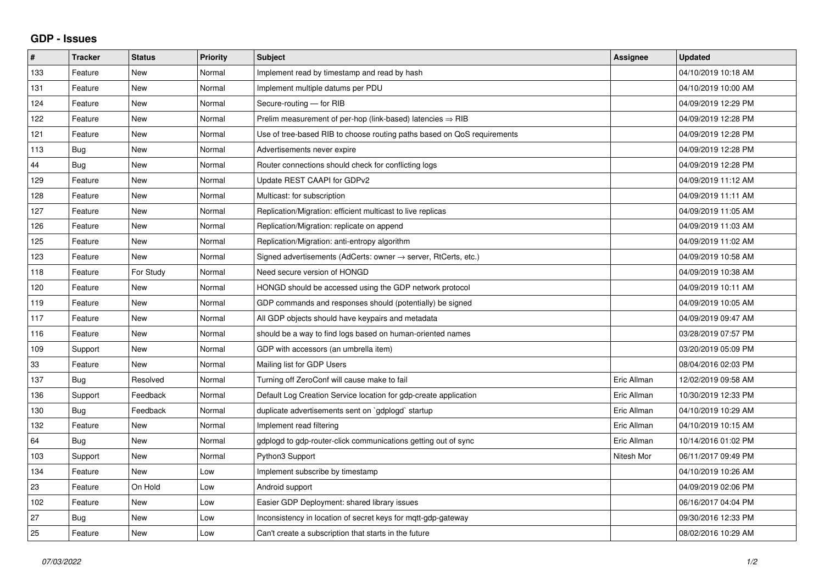## **GDP - Issues**

| $\pmb{\#}$ | <b>Tracker</b> | <b>Status</b> | <b>Priority</b> | <b>Subject</b>                                                          | Assignee    | <b>Updated</b>      |
|------------|----------------|---------------|-----------------|-------------------------------------------------------------------------|-------------|---------------------|
| 133        | Feature        | <b>New</b>    | Normal          | Implement read by timestamp and read by hash                            |             | 04/10/2019 10:18 AM |
| 131        | Feature        | <b>New</b>    | Normal          | Implement multiple datums per PDU                                       |             | 04/10/2019 10:00 AM |
| 124        | Feature        | <b>New</b>    | Normal          | Secure-routing - for RIB                                                |             | 04/09/2019 12:29 PM |
| 122        | Feature        | <b>New</b>    | Normal          | Prelim measurement of per-hop (link-based) latencies $\Rightarrow$ RIB  |             | 04/09/2019 12:28 PM |
| 121        | Feature        | New           | Normal          | Use of tree-based RIB to choose routing paths based on QoS requirements |             | 04/09/2019 12:28 PM |
| 113        | Bug            | <b>New</b>    | Normal          | Advertisements never expire                                             |             | 04/09/2019 12:28 PM |
| 44         | Bug            | New           | Normal          | Router connections should check for conflicting logs                    |             | 04/09/2019 12:28 PM |
| 129        | Feature        | <b>New</b>    | Normal          | Update REST CAAPI for GDPv2                                             |             | 04/09/2019 11:12 AM |
| 128        | Feature        | <b>New</b>    | Normal          | Multicast: for subscription                                             |             | 04/09/2019 11:11 AM |
| 127        | Feature        | <b>New</b>    | Normal          | Replication/Migration: efficient multicast to live replicas             |             | 04/09/2019 11:05 AM |
| 126        | Feature        | <b>New</b>    | Normal          | Replication/Migration: replicate on append                              |             | 04/09/2019 11:03 AM |
| 125        | Feature        | <b>New</b>    | Normal          | Replication/Migration: anti-entropy algorithm                           |             | 04/09/2019 11:02 AM |
| 123        | Feature        | <b>New</b>    | Normal          | Signed advertisements (AdCerts: owner → server, RtCerts, etc.)          |             | 04/09/2019 10:58 AM |
| 118        | Feature        | For Study     | Normal          | Need secure version of HONGD                                            |             | 04/09/2019 10:38 AM |
| 120        | Feature        | <b>New</b>    | Normal          | HONGD should be accessed using the GDP network protocol                 |             | 04/09/2019 10:11 AM |
| 119        | Feature        | <b>New</b>    | Normal          | GDP commands and responses should (potentially) be signed               |             | 04/09/2019 10:05 AM |
| 117        | Feature        | <b>New</b>    | Normal          | All GDP objects should have keypairs and metadata                       |             | 04/09/2019 09:47 AM |
| 116        | Feature        | New           | Normal          | should be a way to find logs based on human-oriented names              |             | 03/28/2019 07:57 PM |
| 109        | Support        | <b>New</b>    | Normal          | GDP with accessors (an umbrella item)                                   |             | 03/20/2019 05:09 PM |
| 33         | Feature        | <b>New</b>    | Normal          | Mailing list for GDP Users                                              |             | 08/04/2016 02:03 PM |
| 137        | Bug            | Resolved      | Normal          | Turning off ZeroConf will cause make to fail                            | Eric Allman | 12/02/2019 09:58 AM |
| 136        | Support        | Feedback      | Normal          | Default Log Creation Service location for gdp-create application        | Eric Allman | 10/30/2019 12:33 PM |
| 130        | Bug            | Feedback      | Normal          | duplicate advertisements sent on `gdplogd` startup                      | Eric Allman | 04/10/2019 10:29 AM |
| 132        | Feature        | New           | Normal          | Implement read filtering                                                | Eric Allman | 04/10/2019 10:15 AM |
| 64         | Bug            | <b>New</b>    | Normal          | gdplogd to gdp-router-click communications getting out of sync          | Eric Allman | 10/14/2016 01:02 PM |
| 103        | Support        | <b>New</b>    | Normal          | Python3 Support                                                         | Nitesh Mor  | 06/11/2017 09:49 PM |
| 134        | Feature        | <b>New</b>    | Low             | Implement subscribe by timestamp                                        |             | 04/10/2019 10:26 AM |
| 23         | Feature        | On Hold       | Low             | Android support                                                         |             | 04/09/2019 02:06 PM |
| 102        | Feature        | <b>New</b>    | Low             | Easier GDP Deployment: shared library issues                            |             | 06/16/2017 04:04 PM |
| 27         | Bug            | New           | Low             | Inconsistency in location of secret keys for mgtt-gdp-gateway           |             | 09/30/2016 12:33 PM |
| 25         | Feature        | New           | Low             | Can't create a subscription that starts in the future                   |             | 08/02/2016 10:29 AM |